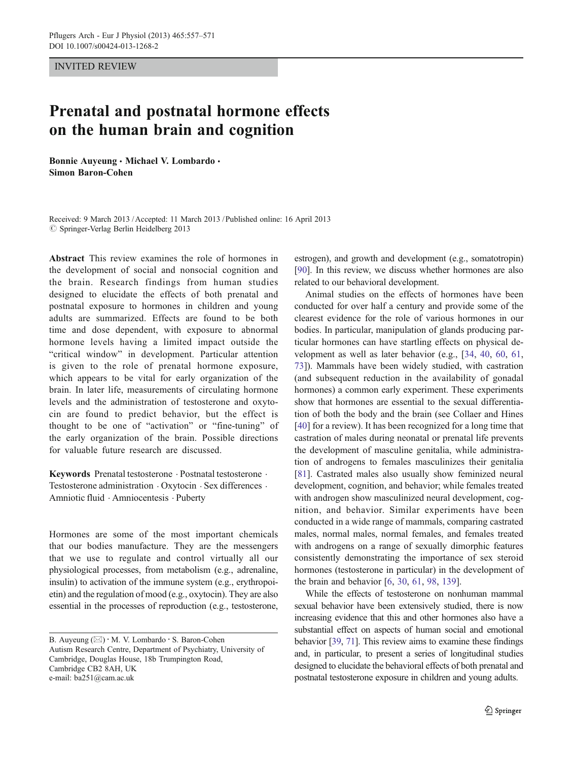INVITED REVIEW

# Prenatal and postnatal hormone effects on the human brain and cognition

Bonnie Auyeung · Michael V. Lombardo · Simon Baron-Cohen

Received: 9 March 2013 /Accepted: 11 March 2013 / Published online: 16 April 2013  $\oslash$  Springer-Verlag Berlin Heidelberg 2013

Abstract This review examines the role of hormones in the development of social and nonsocial cognition and the brain. Research findings from human studies designed to elucidate the effects of both prenatal and postnatal exposure to hormones in children and young adults are summarized. Effects are found to be both time and dose dependent, with exposure to abnormal hormone levels having a limited impact outside the "critical window" in development. Particular attention is given to the role of prenatal hormone exposure, which appears to be vital for early organization of the brain. In later life, measurements of circulating hormone levels and the administration of testosterone and oxytocin are found to predict behavior, but the effect is thought to be one of "activation" or "fine-tuning" of the early organization of the brain. Possible directions for valuable future research are discussed.

Keywords Prenatal testosterone . Postnatal testosterone . Testosterone administration . Oxytocin . Sex differences . Amniotic fluid . Amniocentesis . Puberty

Hormones are some of the most important chemicals that our bodies manufacture. They are the messengers that we use to regulate and control virtually all our physiological processes, from metabolism (e.g., adrenaline, insulin) to activation of the immune system (e.g., erythropoietin) and the regulation of mood (e.g., oxytocin). They are also essential in the processes of reproduction (e.g., testosterone,

estrogen), and growth and development (e.g., somatotropin) [\[90](#page-13-0)]. In this review, we discuss whether hormones are also related to our behavioral development.

Animal studies on the effects of hormones have been conducted for over half a century and provide some of the clearest evidence for the role of various hormones in our bodies. In particular, manipulation of glands producing particular hormones can have startling effects on physical development as well as later behavior (e.g., [[34](#page-11-0), [40](#page-11-0), [60](#page-12-0), [61,](#page-12-0) [73](#page-12-0)]). Mammals have been widely studied, with castration (and subsequent reduction in the availability of gonadal hormones) a common early experiment. These experiments show that hormones are essential to the sexual differentiation of both the body and the brain (see Collaer and Hines [\[40](#page-11-0)] for a review). It has been recognized for a long time that castration of males during neonatal or prenatal life prevents the development of masculine genitalia, while administration of androgens to females masculinizes their genitalia [\[81](#page-12-0)]. Castrated males also usually show feminized neural development, cognition, and behavior; while females treated with androgen show masculinized neural development, cognition, and behavior. Similar experiments have been conducted in a wide range of mammals, comparing castrated males, normal males, normal females, and females treated with androgens on a range of sexually dimorphic features consistently demonstrating the importance of sex steroid hormones (testosterone in particular) in the development of the brain and behavior [[6,](#page-10-0) [30](#page-11-0), [61,](#page-12-0) [98,](#page-13-0) [139](#page-14-0)].

While the effects of testosterone on nonhuman mammal sexual behavior have been extensively studied, there is now increasing evidence that this and other hormones also have a substantial effect on aspects of human social and emotional behavior [\[39,](#page-11-0) [71](#page-12-0)]. This review aims to examine these findings and, in particular, to present a series of longitudinal studies designed to elucidate the behavioral effects of both prenatal and postnatal testosterone exposure in children and young adults.

B. Auyeung ( $\boxtimes$ ) · M. V. Lombardo · S. Baron-Cohen Autism Research Centre, Department of Psychiatry, University of Cambridge, Douglas House, 18b Trumpington Road, Cambridge CB2 8AH, UK e-mail: ba251@cam.ac.uk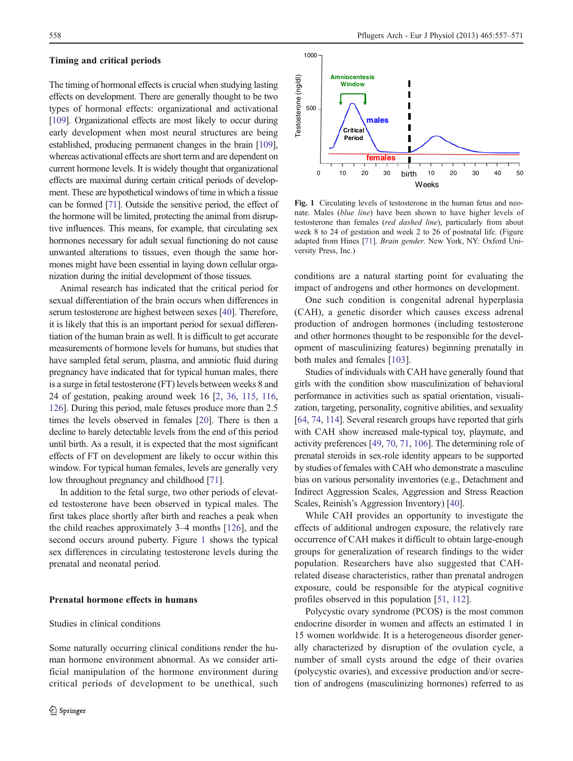#### <span id="page-1-0"></span>Timing and critical periods

The timing of hormonal effects is crucial when studying lasting effects on development. There are generally thought to be two types of hormonal effects: organizational and activational [\[109](#page-13-0)]. Organizational effects are most likely to occur during early development when most neural structures are being established, producing permanent changes in the brain [\[109\]](#page-13-0), whereas activational effects are short term and are dependent on current hormone levels. It is widely thought that organizational effects are maximal during certain critical periods of development. These are hypothetical windows of time in which a tissue can be formed [[71](#page-12-0)]. Outside the sensitive period, the effect of the hormone will be limited, protecting the animal from disruptive influences. This means, for example, that circulating sex hormones necessary for adult sexual functioning do not cause unwanted alterations to tissues, even though the same hormones might have been essential in laying down cellular organization during the initial development of those tissues.

Animal research has indicated that the critical period for sexual differentiation of the brain occurs when differences in serum testosterone are highest between sexes [\[40\]](#page-11-0). Therefore, it is likely that this is an important period for sexual differentiation of the human brain as well. It is difficult to get accurate measurements of hormone levels for humans, but studies that have sampled fetal serum, plasma, and amniotic fluid during pregnancy have indicated that for typical human males, there is a surge in fetal testosterone (FT) levels between weeks 8 and 24 of gestation, peaking around week 16 [\[2](#page-10-0), [36](#page-11-0), [115](#page-13-0), [116,](#page-13-0) [126\]](#page-13-0). During this period, male fetuses produce more than 2.5 times the levels observed in females [\[20\]](#page-11-0). There is then a decline to barely detectable levels from the end of this period until birth. As a result, it is expected that the most significant effects of FT on development are likely to occur within this window. For typical human females, levels are generally very low throughout pregnancy and childhood [\[71\]](#page-12-0).

In addition to the fetal surge, two other periods of elevated testosterone have been observed in typical males. The first takes place shortly after birth and reaches a peak when the child reaches approximately 3–4 months [[126\]](#page-13-0), and the second occurs around puberty. Figure 1 shows the typical sex differences in circulating testosterone levels during the prenatal and neonatal period.

# Prenatal hormone effects in humans

#### Studies in clinical conditions

Some naturally occurring clinical conditions render the human hormone environment abnormal. As we consider artificial manipulation of the hormone environment during critical periods of development to be unethical, such



Fig. 1 Circulating levels of testosterone in the human fetus and neonate. Males (blue line) have been shown to have higher levels of testosterone than females (red dashed line), particularly from about week 8 to 24 of gestation and week 2 to 26 of postnatal life. (Figure adapted from Hines [\[71\]](#page-12-0). Brain gender. New York, NY: Oxford University Press, Inc.)

conditions are a natural starting point for evaluating the impact of androgens and other hormones on development.

One such condition is congenital adrenal hyperplasia (CAH), a genetic disorder which causes excess adrenal production of androgen hormones (including testosterone and other hormones thought to be responsible for the development of masculinizing features) beginning prenatally in both males and females [[103\]](#page-13-0).

Studies of individuals with CAH have generally found that girls with the condition show masculinization of behavioral performance in activities such as spatial orientation, visualization, targeting, personality, cognitive abilities, and sexuality [\[64](#page-12-0), [74,](#page-12-0) [114\]](#page-13-0). Several research groups have reported that girls with CAH show increased male-typical toy, playmate, and activity preferences [[49,](#page-12-0) [70](#page-12-0), [71,](#page-12-0) [106\]](#page-13-0). The determining role of prenatal steroids in sex-role identity appears to be supported by studies of females with CAH who demonstrate a masculine bias on various personality inventories (e.g., Detachment and Indirect Aggression Scales, Aggression and Stress Reaction Scales, Reinish's Aggression Inventory) [[40\]](#page-11-0).

While CAH provides an opportunity to investigate the effects of additional androgen exposure, the relatively rare occurrence of CAH makes it difficult to obtain large-enough groups for generalization of research findings to the wider population. Researchers have also suggested that CAHrelated disease characteristics, rather than prenatal androgen exposure, could be responsible for the atypical cognitive profiles observed in this population [[51](#page-12-0), [112\]](#page-13-0).

Polycystic ovary syndrome (PCOS) is the most common endocrine disorder in women and affects an estimated 1 in 15 women worldwide. It is a heterogeneous disorder generally characterized by disruption of the ovulation cycle, a number of small cysts around the edge of their ovaries (polycystic ovaries), and excessive production and/or secretion of androgens (masculinizing hormones) referred to as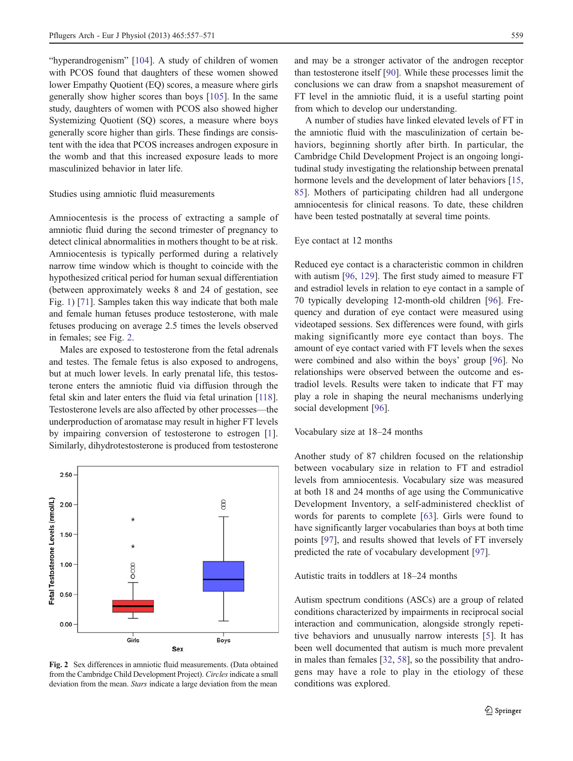"hyperandrogenism" [\[104](#page-13-0)]. A study of children of women with PCOS found that daughters of these women showed lower Empathy Quotient (EQ) scores, a measure where girls generally show higher scores than boys [[105\]](#page-13-0). In the same study, daughters of women with PCOS also showed higher Systemizing Quotient (SQ) scores, a measure where boys generally score higher than girls. These findings are consistent with the idea that PCOS increases androgen exposure in the womb and that this increased exposure leads to more masculinized behavior in later life.

#### Studies using amniotic fluid measurements

Amniocentesis is the process of extracting a sample of amniotic fluid during the second trimester of pregnancy to detect clinical abnormalities in mothers thought to be at risk. Amniocentesis is typically performed during a relatively narrow time window which is thought to coincide with the hypothesized critical period for human sexual differentiation (between approximately weeks 8 and 24 of gestation, see Fig. [1](#page-1-0)) [[71](#page-12-0)]. Samples taken this way indicate that both male and female human fetuses produce testosterone, with male fetuses producing on average 2.5 times the levels observed in females; see Fig. 2.

Males are exposed to testosterone from the fetal adrenals and testes. The female fetus is also exposed to androgens, but at much lower levels. In early prenatal life, this testosterone enters the amniotic fluid via diffusion through the fetal skin and later enters the fluid via fetal urination [[118](#page-13-0)]. Testosterone levels are also affected by other processes—the underproduction of aromatase may result in higher FT levels by impairing conversion of testosterone to estrogen [\[1](#page-10-0)]. Similarly, dihydrotestosterone is produced from testosterone



Fig. 2 Sex differences in amniotic fluid measurements. (Data obtained from the Cambridge Child Development Project). Circles indicate a small deviation from the mean. Stars indicate a large deviation from the mean

and may be a stronger activator of the androgen receptor than testosterone itself [[90\]](#page-13-0). While these processes limit the conclusions we can draw from a snapshot measurement of FT level in the amniotic fluid, it is a useful starting point from which to develop our understanding.

A number of studies have linked elevated levels of FT in the amniotic fluid with the masculinization of certain behaviors, beginning shortly after birth. In particular, the Cambridge Child Development Project is an ongoing longitudinal study investigating the relationship between prenatal hormone levels and the development of later behaviors [[15,](#page-11-0) [85](#page-12-0)]. Mothers of participating children had all undergone amniocentesis for clinical reasons. To date, these children have been tested postnatally at several time points.

# Eye contact at 12 months

Reduced eye contact is a characteristic common in children with autism [\[96](#page-13-0), [129](#page-13-0)]. The first study aimed to measure FT and estradiol levels in relation to eye contact in a sample of 70 typically developing 12-month-old children [[96\]](#page-13-0). Frequency and duration of eye contact were measured using videotaped sessions. Sex differences were found, with girls making significantly more eye contact than boys. The amount of eye contact varied with FT levels when the sexes were combined and also within the boys' group [\[96](#page-13-0)]. No relationships were observed between the outcome and estradiol levels. Results were taken to indicate that FT may play a role in shaping the neural mechanisms underlying social development [\[96](#page-13-0)].

# Vocabulary size at 18–24 months

Another study of 87 children focused on the relationship between vocabulary size in relation to FT and estradiol levels from amniocentesis. Vocabulary size was measured at both 18 and 24 months of age using the Communicative Development Inventory, a self-administered checklist of words for parents to complete [\[63](#page-12-0)]. Girls were found to have significantly larger vocabularies than boys at both time points [\[97](#page-13-0)], and results showed that levels of FT inversely predicted the rate of vocabulary development [\[97](#page-13-0)].

# Autistic traits in toddlers at 18–24 months

Autism spectrum conditions (ASCs) are a group of related conditions characterized by impairments in reciprocal social interaction and communication, alongside strongly repetitive behaviors and unusually narrow interests [[5](#page-10-0)]. It has been well documented that autism is much more prevalent in males than females [[32,](#page-11-0) [58](#page-12-0)], so the possibility that androgens may have a role to play in the etiology of these conditions was explored.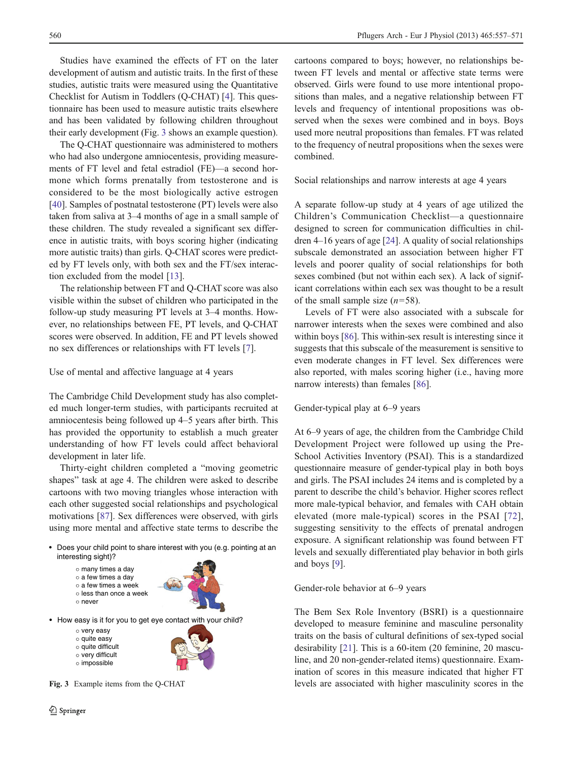Studies have examined the effects of FT on the later development of autism and autistic traits. In the first of these studies, autistic traits were measured using the Quantitative Checklist for Autism in Toddlers (Q-CHAT) [[4\]](#page-10-0). This questionnaire has been used to measure autistic traits elsewhere and has been validated by following children throughout their early development (Fig. 3 shows an example question).

The Q-CHAT questionnaire was administered to mothers who had also undergone amniocentesis, providing measurements of FT level and fetal estradiol (FE)—a second hormone which forms prenatally from testosterone and is considered to be the most biologically active estrogen [\[40](#page-11-0)]. Samples of postnatal testosterone (PT) levels were also taken from saliva at 3–4 months of age in a small sample of these children. The study revealed a significant sex difference in autistic traits, with boys scoring higher (indicating more autistic traits) than girls. Q-CHAT scores were predicted by FT levels only, with both sex and the FT/sex interaction excluded from the model [\[13](#page-11-0)].

The relationship between FT and Q-CHAT score was also visible within the subset of children who participated in the follow-up study measuring PT levels at 3–4 months. However, no relationships between FE, PT levels, and Q-CHAT scores were observed. In addition, FE and PT levels showed no sex differences or relationships with FT levels [[7\]](#page-10-0).

Use of mental and affective language at 4 years

The Cambridge Child Development study has also completed much longer-term studies, with participants recruited at amniocentesis being followed up 4–5 years after birth. This has provided the opportunity to establish a much greater understanding of how FT levels could affect behavioral development in later life.

Thirty-eight children completed a "moving geometric shapes" task at age 4. The children were asked to describe cartoons with two moving triangles whose interaction with each other suggested social relationships and psychological motivations [\[87](#page-12-0)]. Sex differences were observed, with girls using more mental and affective state terms to describe the

• Does your child point to share interest with you (e.g. pointing at an interesting sight)?



o impossible

Fig. 3 Example items from the Q-CHAT

cartoons compared to boys; however, no relationships between FT levels and mental or affective state terms were observed. Girls were found to use more intentional propositions than males, and a negative relationship between FT levels and frequency of intentional propositions was observed when the sexes were combined and in boys. Boys used more neutral propositions than females. FT was related to the frequency of neutral propositions when the sexes were combined.

Social relationships and narrow interests at age 4 years

A separate follow-up study at 4 years of age utilized the Children's Communication Checklist—a questionnaire designed to screen for communication difficulties in children 4–16 years of age [[24\]](#page-11-0). A quality of social relationships subscale demonstrated an association between higher FT levels and poorer quality of social relationships for both sexes combined (but not within each sex). A lack of significant correlations within each sex was thought to be a result of the small sample size  $(n=58)$ .

Levels of FT were also associated with a subscale for narrower interests when the sexes were combined and also within boys [[86\]](#page-12-0). This within-sex result is interesting since it suggests that this subscale of the measurement is sensitive to even moderate changes in FT level. Sex differences were also reported, with males scoring higher (i.e., having more narrow interests) than females [[86\]](#page-12-0).

Gender-typical play at 6–9 years

At 6–9 years of age, the children from the Cambridge Child Development Project were followed up using the Pre-School Activities Inventory (PSAI). This is a standardized questionnaire measure of gender-typical play in both boys and girls. The PSAI includes 24 items and is completed by a parent to describe the child's behavior. Higher scores reflect more male-typical behavior, and females with CAH obtain elevated (more male-typical) scores in the PSAI [[72](#page-12-0)], suggesting sensitivity to the effects of prenatal androgen exposure. A significant relationship was found between FT levels and sexually differentiated play behavior in both girls and boys [\[9](#page-11-0)].

#### Gender-role behavior at 6–9 years

The Bem Sex Role Inventory (BSRI) is a questionnaire developed to measure feminine and masculine personality traits on the basis of cultural definitions of sex-typed social desirability [[21\]](#page-11-0). This is a 60-item (20 feminine, 20 masculine, and 20 non-gender-related items) questionnaire. Examination of scores in this measure indicated that higher FT levels are associated with higher masculinity scores in the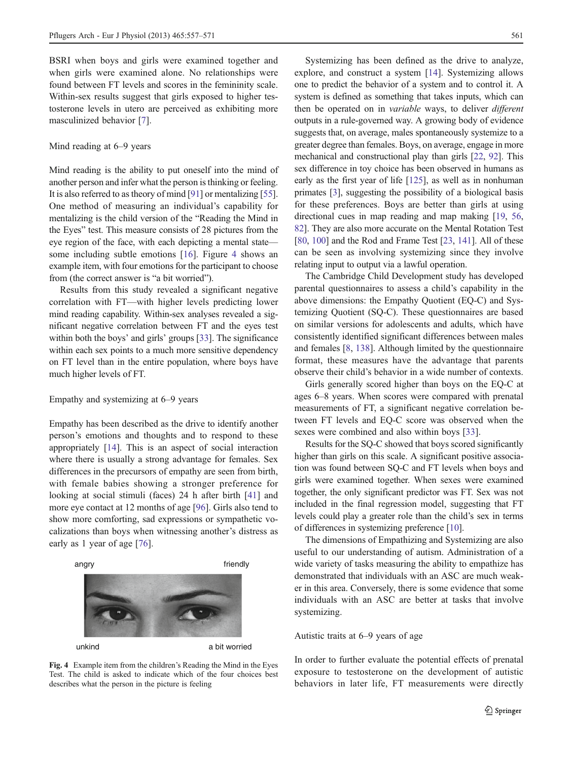BSRI when boys and girls were examined together and when girls were examined alone. No relationships were found between FT levels and scores in the femininity scale. Within-sex results suggest that girls exposed to higher testosterone levels in utero are perceived as exhibiting more masculinized behavior [[7\]](#page-10-0).

# Mind reading at 6–9 years

Mind reading is the ability to put oneself into the mind of another person and infer what the person is thinking or feeling. It is also referred to as theory of mind [\[91\]](#page-13-0) or mentalizing [[55\]](#page-12-0). One method of measuring an individual's capability for mentalizing is the child version of the "Reading the Mind in the Eyes" test. This measure consists of 28 pictures from the eye region of the face, with each depicting a mental state— some including subtle emotions [[16\]](#page-11-0). Figure 4 shows an example item, with four emotions for the participant to choose from (the correct answer is "a bit worried").

Results from this study revealed a significant negative correlation with FT—with higher levels predicting lower mind reading capability. Within-sex analyses revealed a significant negative correlation between FT and the eyes test within both the boys' and girls' groups [\[33](#page-11-0)]. The significance within each sex points to a much more sensitive dependency on FT level than in the entire population, where boys have much higher levels of FT.

## Empathy and systemizing at 6–9 years

Empathy has been described as the drive to identify another person's emotions and thoughts and to respond to these appropriately [\[14](#page-11-0)]. This is an aspect of social interaction where there is usually a strong advantage for females. Sex differences in the precursors of empathy are seen from birth, with female babies showing a stronger preference for looking at social stimuli (faces) 24 h after birth [\[41](#page-11-0)] and more eye contact at 12 months of age [[96\]](#page-13-0). Girls also tend to show more comforting, sad expressions or sympathetic vocalizations than boys when witnessing another's distress as early as 1 year of age [[76\]](#page-12-0).



Fig. 4 Example item from the children's Reading the Mind in the Eyes Test. The child is asked to indicate which of the four choices best describes what the person in the picture is feeling

Systemizing has been defined as the drive to analyze, explore, and construct a system [\[14](#page-11-0)]. Systemizing allows one to predict the behavior of a system and to control it. A system is defined as something that takes inputs, which can then be operated on in variable ways, to deliver different outputs in a rule-governed way. A growing body of evidence suggests that, on average, males spontaneously systemize to a greater degree than females. Boys, on average, engage in more mechanical and constructional play than girls [[22](#page-11-0), [92](#page-13-0)]. This sex difference in toy choice has been observed in humans as early as the first year of life [\[125\]](#page-13-0), as well as in nonhuman primates [[3\]](#page-10-0), suggesting the possibility of a biological basis for these preferences. Boys are better than girls at using directional cues in map reading and map making [\[19](#page-11-0), [56,](#page-12-0) [82\]](#page-12-0). They are also more accurate on the Mental Rotation Test [\[80](#page-12-0), [100\]](#page-13-0) and the Rod and Frame Test [[23,](#page-11-0) [141](#page-14-0)]. All of these can be seen as involving systemizing since they involve relating input to output via a lawful operation.

The Cambridge Child Development study has developed parental questionnaires to assess a child's capability in the above dimensions: the Empathy Quotient (EQ-C) and Systemizing Quotient (SQ-C). These questionnaires are based on similar versions for adolescents and adults, which have consistently identified significant differences between males and females [[8,](#page-10-0) [138\]](#page-14-0). Although limited by the questionnaire format, these measures have the advantage that parents observe their child's behavior in a wide number of contexts.

Girls generally scored higher than boys on the EQ-C at ages 6–8 years. When scores were compared with prenatal measurements of FT, a significant negative correlation between FT levels and EQ-C score was observed when the sexes were combined and also within boys [\[33](#page-11-0)].

Results for the SQ-C showed that boys scored significantly higher than girls on this scale. A significant positive association was found between SQ-C and FT levels when boys and girls were examined together. When sexes were examined together, the only significant predictor was FT. Sex was not included in the final regression model, suggesting that FT levels could play a greater role than the child's sex in terms of differences in systemizing preference [\[10](#page-11-0)].

The dimensions of Empathizing and Systemizing are also useful to our understanding of autism. Administration of a wide variety of tasks measuring the ability to empathize has demonstrated that individuals with an ASC are much weaker in this area. Conversely, there is some evidence that some individuals with an ASC are better at tasks that involve systemizing.

#### Autistic traits at 6–9 years of age

In order to further evaluate the potential effects of prenatal exposure to testosterone on the development of autistic behaviors in later life, FT measurements were directly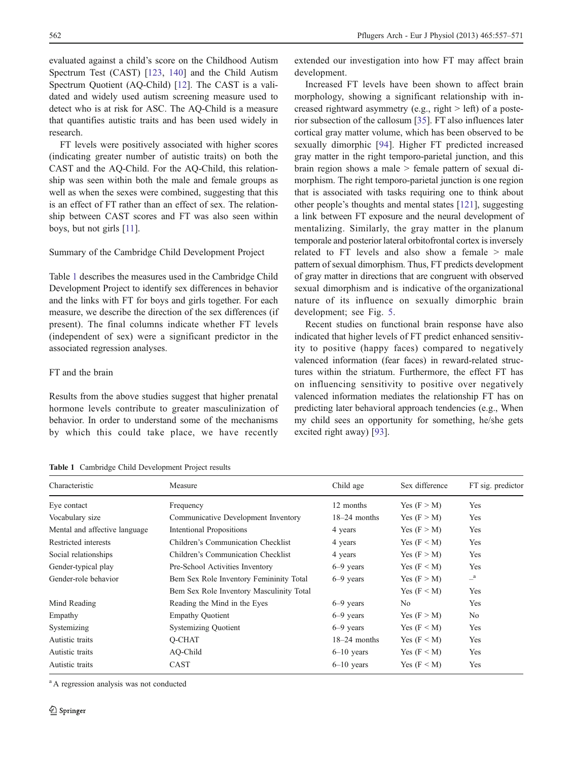<span id="page-5-0"></span>evaluated against a child's score on the Childhood Autism Spectrum Test (CAST) [[123,](#page-13-0) [140](#page-14-0)] and the Child Autism Spectrum Quotient (AQ-Child) [[12\]](#page-11-0). The CAST is a validated and widely used autism screening measure used to detect who is at risk for ASC. The AQ-Child is a measure that quantifies autistic traits and has been used widely in research.

FT levels were positively associated with higher scores (indicating greater number of autistic traits) on both the CAST and the AQ-Child. For the AQ-Child, this relationship was seen within both the male and female groups as well as when the sexes were combined, suggesting that this is an effect of FT rather than an effect of sex. The relationship between CAST scores and FT was also seen within boys, but not girls [\[11](#page-11-0)].

## Summary of the Cambridge Child Development Project

Table 1 describes the measures used in the Cambridge Child Development Project to identify sex differences in behavior and the links with FT for boys and girls together. For each measure, we describe the direction of the sex differences (if present). The final columns indicate whether FT levels (independent of sex) were a significant predictor in the associated regression analyses.

#### FT and the brain

Results from the above studies suggest that higher prenatal hormone levels contribute to greater masculinization of behavior. In order to understand some of the mechanisms by which this could take place, we have recently

extended our investigation into how FT may affect brain development.

Increased FT levels have been shown to affect brain morphology, showing a significant relationship with increased rightward asymmetry (e.g., right  $>$  left) of a posterior subsection of the callosum [[35\]](#page-11-0). FT also influences later cortical gray matter volume, which has been observed to be sexually dimorphic [\[94](#page-13-0)]. Higher FT predicted increased gray matter in the right temporo-parietal junction, and this brain region shows a male > female pattern of sexual dimorphism. The right temporo-parietal junction is one region that is associated with tasks requiring one to think about other people's thoughts and mental states [\[121](#page-13-0)], suggesting a link between FT exposure and the neural development of mentalizing. Similarly, the gray matter in the planum temporale and posterior lateral orbitofrontal cortex is inversely related to FT levels and also show a female > male pattern of sexual dimorphism. Thus, FT predicts development of gray matter in directions that are congruent with observed sexual dimorphism and is indicative of the organizational nature of its influence on sexually dimorphic brain development; see Fig. [5.](#page-6-0)

Recent studies on functional brain response have also indicated that higher levels of FT predict enhanced sensitivity to positive (happy faces) compared to negatively valenced information (fear faces) in reward-related structures within the striatum. Furthermore, the effect FT has on influencing sensitivity to positive over negatively valenced information mediates the relationship FT has on predicting later behavioral approach tendencies (e.g., When my child sees an opportunity for something, he/she gets excited right away) [[93\]](#page-13-0).

Table 1 Cambridge Child Development Project results

| Characteristic                | Measure                                  | Child age      | Sex difference  | FT sig. predictor |
|-------------------------------|------------------------------------------|----------------|-----------------|-------------------|
|                               |                                          |                |                 |                   |
| Vocabulary size               | Communicative Development Inventory      | $18-24$ months | Yes $(F > M)$   | Yes               |
| Mental and affective language | <b>Intentional Propositions</b>          | 4 years        | Yes $(F > M)$   | Yes               |
| Restricted interests          | Children's Communication Checklist       | 4 years        | Yes $(F \le M)$ | Yes               |
| Social relationships          | Children's Communication Checklist       | 4 years        | Yes $(F > M)$   | Yes               |
| Gender-typical play           | Pre-School Activities Inventory          | $6-9$ years    | Yes $(F \le M)$ | Yes               |
| Gender-role behavior          | Bem Sex Role Inventory Femininity Total  | $6-9$ years    | Yes $(F > M)$   | $\mathbf{a}$      |
|                               | Bem Sex Role Inventory Masculinity Total |                | Yes $(F \le M)$ | Yes               |
| Mind Reading                  | Reading the Mind in the Eyes             | $6-9$ years    | No              | Yes               |
| Empathy                       | <b>Empathy Quotient</b>                  | $6-9$ years    | Yes $(F > M)$   | No                |
| Systemizing                   | <b>Systemizing Quotient</b>              | $6-9$ years    | Yes $(F \le M)$ | Yes               |
| Autistic traits               | O-CHAT                                   | $18-24$ months | Yes $(F \le M)$ | Yes               |
| Autistic traits               | AO-Child                                 | $6-10$ years   | Yes $(F \le M)$ | Yes               |
| Autistic traits               | CAST                                     | $6-10$ years   | Yes $(F \le M)$ | Yes               |

<sup>a</sup> A regression analysis was not conducted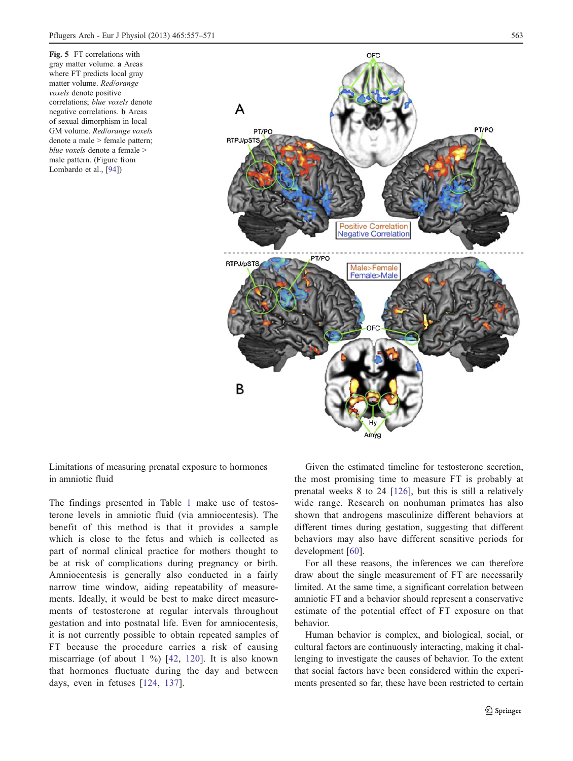<span id="page-6-0"></span>Fig. 5 FT correlations with gray matter volume. a Areas where FT predicts local gray matter volume. Red/orange voxels denote positive correlations; blue voxels denote negative correlations. b Areas of sexual dimorphism in local GM volume. Red/orange voxels denote a male > female pattern; blue voxels denote a female > male pattern. (Figure from

Lombardo et al., [[94](#page-13-0)])



Limitations of measuring prenatal exposure to hormones in amniotic fluid

The findings presented in Table [1](#page-5-0) make use of testosterone levels in amniotic fluid (via amniocentesis). The benefit of this method is that it provides a sample which is close to the fetus and which is collected as part of normal clinical practice for mothers thought to be at risk of complications during pregnancy or birth. Amniocentesis is generally also conducted in a fairly narrow time window, aiding repeatability of measurements. Ideally, it would be best to make direct measurements of testosterone at regular intervals throughout gestation and into postnatal life. Even for amniocentesis, it is not currently possible to obtain repeated samples of FT because the procedure carries a risk of causing miscarriage (of about  $1 \frac{9}{0}$  [\[42,](#page-11-0) [120](#page-13-0)]. It is also known that hormones fluctuate during the day and between days, even in fetuses [[124,](#page-13-0) [137](#page-14-0)].

Given the estimated timeline for testosterone secretion, the most promising time to measure FT is probably at prenatal weeks 8 to 24 [\[126](#page-13-0)], but this is still a relatively wide range. Research on nonhuman primates has also shown that androgens masculinize different behaviors at different times during gestation, suggesting that different behaviors may also have different sensitive periods for development [[60](#page-12-0)].

For all these reasons, the inferences we can therefore draw about the single measurement of FT are necessarily limited. At the same time, a significant correlation between amniotic FT and a behavior should represent a conservative estimate of the potential effect of FT exposure on that behavior.

Human behavior is complex, and biological, social, or cultural factors are continuously interacting, making it challenging to investigate the causes of behavior. To the extent that social factors have been considered within the experiments presented so far, these have been restricted to certain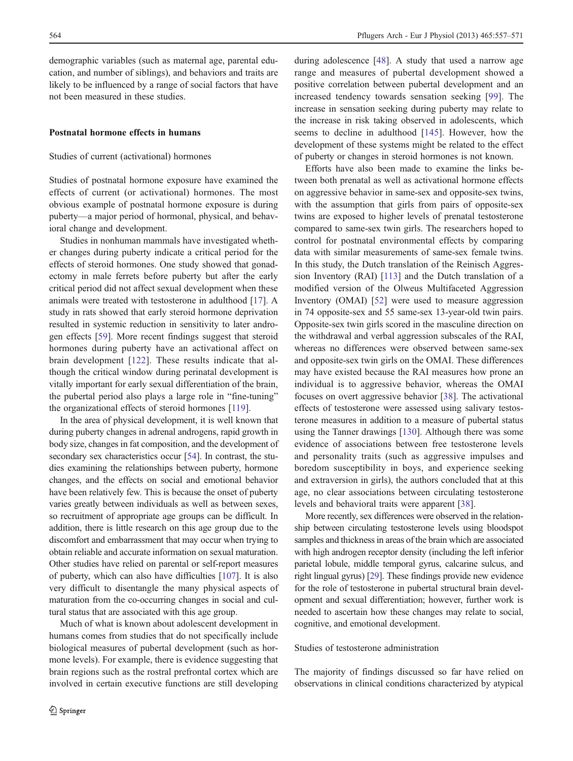demographic variables (such as maternal age, parental education, and number of siblings), and behaviors and traits are likely to be influenced by a range of social factors that have not been measured in these studies.

# Postnatal hormone effects in humans

#### Studies of current (activational) hormones

Studies of postnatal hormone exposure have examined the effects of current (or activational) hormones. The most obvious example of postnatal hormone exposure is during puberty—a major period of hormonal, physical, and behavioral change and development.

Studies in nonhuman mammals have investigated whether changes during puberty indicate a critical period for the effects of steroid hormones. One study showed that gonadectomy in male ferrets before puberty but after the early critical period did not affect sexual development when these animals were treated with testosterone in adulthood [\[17](#page-11-0)]. A study in rats showed that early steroid hormone deprivation resulted in systemic reduction in sensitivity to later androgen effects [[59\]](#page-12-0). More recent findings suggest that steroid hormones during puberty have an activational affect on brain development [[122\]](#page-13-0). These results indicate that although the critical window during perinatal development is vitally important for early sexual differentiation of the brain, the pubertal period also plays a large role in "fine-tuning" the organizational effects of steroid hormones [[119](#page-13-0)].

In the area of physical development, it is well known that during puberty changes in adrenal androgens, rapid growth in body size, changes in fat composition, and the development of secondary sex characteristics occur [[54](#page-12-0)]. In contrast, the studies examining the relationships between puberty, hormone changes, and the effects on social and emotional behavior have been relatively few. This is because the onset of puberty varies greatly between individuals as well as between sexes, so recruitment of appropriate age groups can be difficult. In addition, there is little research on this age group due to the discomfort and embarrassment that may occur when trying to obtain reliable and accurate information on sexual maturation. Other studies have relied on parental or self-report measures of puberty, which can also have difficulties [[107](#page-13-0)]. It is also very difficult to disentangle the many physical aspects of maturation from the co-occurring changes in social and cultural status that are associated with this age group.

Much of what is known about adolescent development in humans comes from studies that do not specifically include biological measures of pubertal development (such as hormone levels). For example, there is evidence suggesting that brain regions such as the rostral prefrontal cortex which are involved in certain executive functions are still developing

during adolescence [\[48](#page-12-0)]. A study that used a narrow age range and measures of pubertal development showed a positive correlation between pubertal development and an increased tendency towards sensation seeking [[99](#page-13-0)]. The increase in sensation seeking during puberty may relate to the increase in risk taking observed in adolescents, which seems to decline in adulthood [\[145](#page-14-0)]. However, how the development of these systems might be related to the effect of puberty or changes in steroid hormones is not known.

Efforts have also been made to examine the links between both prenatal as well as activational hormone effects on aggressive behavior in same-sex and opposite-sex twins, with the assumption that girls from pairs of opposite-sex twins are exposed to higher levels of prenatal testosterone compared to same-sex twin girls. The researchers hoped to control for postnatal environmental effects by comparing data with similar measurements of same-sex female twins. In this study, the Dutch translation of the Reinisch Aggression Inventory (RAI) [\[113\]](#page-13-0) and the Dutch translation of a modified version of the Olweus Multifaceted Aggression Inventory (OMAI) [\[52](#page-12-0)] were used to measure aggression in 74 opposite-sex and 55 same-sex 13-year-old twin pairs. Opposite-sex twin girls scored in the masculine direction on the withdrawal and verbal aggression subscales of the RAI, whereas no differences were observed between same-sex and opposite-sex twin girls on the OMAI. These differences may have existed because the RAI measures how prone an individual is to aggressive behavior, whereas the OMAI focuses on overt aggressive behavior [\[38](#page-11-0)]. The activational effects of testosterone were assessed using salivary testosterone measures in addition to a measure of pubertal status using the Tanner drawings [\[130](#page-14-0)]. Although there was some evidence of associations between free testosterone levels and personality traits (such as aggressive impulses and boredom susceptibility in boys, and experience seeking and extraversion in girls), the authors concluded that at this age, no clear associations between circulating testosterone levels and behavioral traits were apparent [[38\]](#page-11-0).

More recently, sex differences were observed in the relationship between circulating testosterone levels using bloodspot samples and thickness in areas of the brain which are associated with high androgen receptor density (including the left inferior parietal lobule, middle temporal gyrus, calcarine sulcus, and right lingual gyrus) [[29](#page-11-0)]. These findings provide new evidence for the role of testosterone in pubertal structural brain development and sexual differentiation; however, further work is needed to ascertain how these changes may relate to social, cognitive, and emotional development.

#### Studies of testosterone administration

The majority of findings discussed so far have relied on observations in clinical conditions characterized by atypical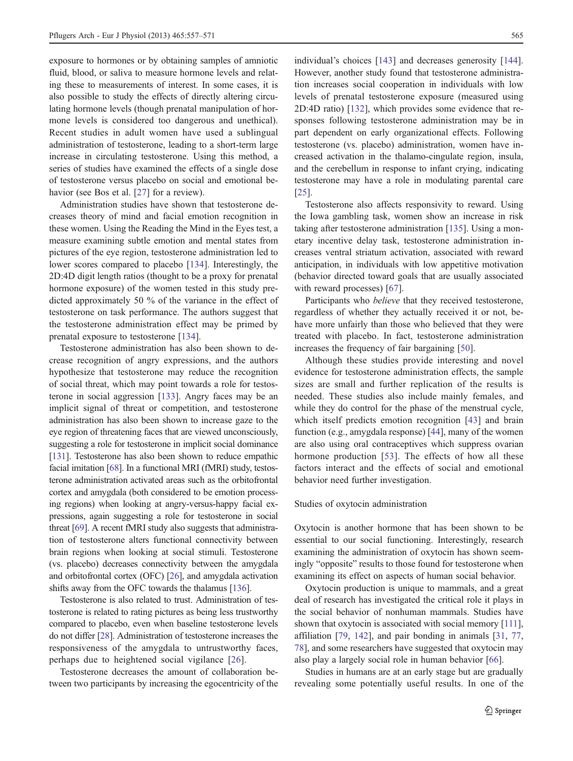exposure to hormones or by obtaining samples of amniotic fluid, blood, or saliva to measure hormone levels and relating these to measurements of interest. In some cases, it is also possible to study the effects of directly altering circulating hormone levels (though prenatal manipulation of hormone levels is considered too dangerous and unethical). Recent studies in adult women have used a sublingual administration of testosterone, leading to a short-term large increase in circulating testosterone. Using this method, a series of studies have examined the effects of a single dose of testosterone versus placebo on social and emotional be-havior (see Bos et al. [\[27](#page-11-0)] for a review).

Administration studies have shown that testosterone decreases theory of mind and facial emotion recognition in these women. Using the Reading the Mind in the Eyes test, a measure examining subtle emotion and mental states from pictures of the eye region, testosterone administration led to lower scores compared to placebo [\[134](#page-14-0)]. Interestingly, the 2D:4D digit length ratios (thought to be a proxy for prenatal hormone exposure) of the women tested in this study predicted approximately 50 % of the variance in the effect of testosterone on task performance. The authors suggest that the testosterone administration effect may be primed by prenatal exposure to testosterone [[134](#page-14-0)].

Testosterone administration has also been shown to decrease recognition of angry expressions, and the authors hypothesize that testosterone may reduce the recognition of social threat, which may point towards a role for testosterone in social aggression [[133](#page-14-0)]. Angry faces may be an implicit signal of threat or competition, and testosterone administration has also been shown to increase gaze to the eye region of threatening faces that are viewed unconsciously, suggesting a role for testosterone in implicit social dominance [\[131\]](#page-14-0). Testosterone has also been shown to reduce empathic facial imitation [[68\]](#page-12-0). In a functional MRI (fMRI) study, testosterone administration activated areas such as the orbitofrontal cortex and amygdala (both considered to be emotion processing regions) when looking at angry-versus-happy facial expressions, again suggesting a role for testosterone in social threat [\[69\]](#page-12-0). A recent fMRI study also suggests that administration of testosterone alters functional connectivity between brain regions when looking at social stimuli. Testosterone (vs. placebo) decreases connectivity between the amygdala and orbitofrontal cortex (OFC) [\[26](#page-11-0)], and amygdala activation shifts away from the OFC towards the thalamus [[136](#page-14-0)].

Testosterone is also related to trust. Administration of testosterone is related to rating pictures as being less trustworthy compared to placebo, even when baseline testosterone levels do not differ [\[28\]](#page-11-0). Administration of testosterone increases the responsiveness of the amygdala to untrustworthy faces, perhaps due to heightened social vigilance [\[26\]](#page-11-0).

Testosterone decreases the amount of collaboration between two participants by increasing the egocentricity of the individual's choices [\[143](#page-14-0)] and decreases generosity [[144\]](#page-14-0). However, another study found that testosterone administration increases social cooperation in individuals with low levels of prenatal testosterone exposure (measured using 2D:4D ratio) [\[132](#page-14-0)], which provides some evidence that responses following testosterone administration may be in part dependent on early organizational effects. Following testosterone (vs. placebo) administration, women have increased activation in the thalamo-cingulate region, insula, and the cerebellum in response to infant crying, indicating testosterone may have a role in modulating parental care [\[25](#page-11-0)].

Testosterone also affects responsivity to reward. Using the Iowa gambling task, women show an increase in risk taking after testosterone administration [[135\]](#page-14-0). Using a monetary incentive delay task, testosterone administration increases ventral striatum activation, associated with reward anticipation, in individuals with low appetitive motivation (behavior directed toward goals that are usually associated with reward processes) [\[67](#page-12-0)].

Participants who believe that they received testosterone, regardless of whether they actually received it or not, behave more unfairly than those who believed that they were treated with placebo. In fact, testosterone administration increases the frequency of fair bargaining [[50\]](#page-12-0).

Although these studies provide interesting and novel evidence for testosterone administration effects, the sample sizes are small and further replication of the results is needed. These studies also include mainly females, and while they do control for the phase of the menstrual cycle, which itself predicts emotion recognition [[43\]](#page-11-0) and brain function (e.g., amygdala response) [[44\]](#page-11-0), many of the women are also using oral contraceptives which suppress ovarian hormone production [[53](#page-12-0)]. The effects of how all these factors interact and the effects of social and emotional behavior need further investigation.

#### Studies of oxytocin administration

Oxytocin is another hormone that has been shown to be essential to our social functioning. Interestingly, research examining the administration of oxytocin has shown seemingly "opposite" results to those found for testosterone when examining its effect on aspects of human social behavior.

Oxytocin production is unique to mammals, and a great deal of research has investigated the critical role it plays in the social behavior of nonhuman mammals. Studies have shown that oxytocin is associated with social memory [\[111\]](#page-13-0), affiliation [[79,](#page-12-0) [142](#page-14-0)], and pair bonding in animals [[31](#page-11-0), [77,](#page-12-0) [78](#page-12-0)], and some researchers have suggested that oxytocin may also play a largely social role in human behavior [\[66](#page-12-0)].

Studies in humans are at an early stage but are gradually revealing some potentially useful results. In one of the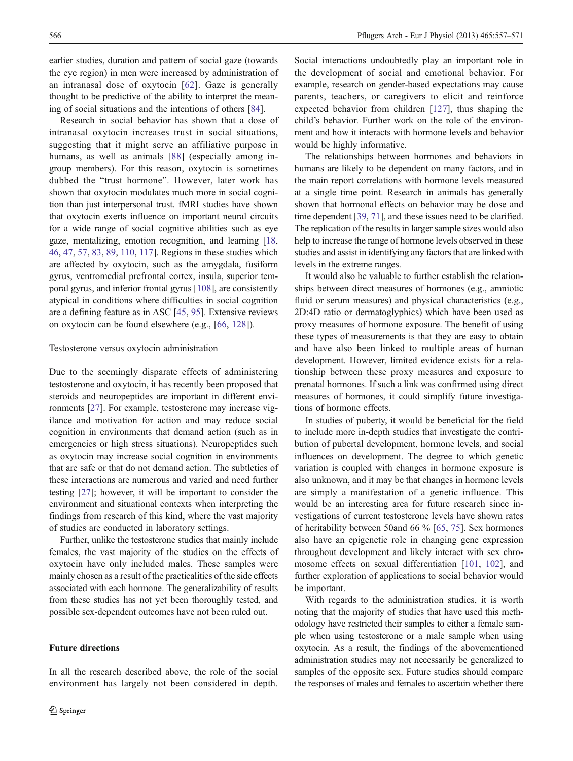earlier studies, duration and pattern of social gaze (towards the eye region) in men were increased by administration of an intranasal dose of oxytocin [[62](#page-12-0)]. Gaze is generally thought to be predictive of the ability to interpret the meaning of social situations and the intentions of others [[84\]](#page-12-0).

Research in social behavior has shown that a dose of intranasal oxytocin increases trust in social situations, suggesting that it might serve an affiliative purpose in humans, as well as animals [\[88\]](#page-12-0) (especially among ingroup members). For this reason, oxytocin is sometimes dubbed the "trust hormone". However, later work has shown that oxytocin modulates much more in social cognition than just interpersonal trust. fMRI studies have shown that oxytocin exerts influence on important neural circuits for a wide range of social–cognitive abilities such as eye gaze, mentalizing, emotion recognition, and learning [[18,](#page-11-0) [46](#page-11-0), [47,](#page-12-0) [57,](#page-12-0) [83,](#page-12-0) [89](#page-12-0), [110,](#page-13-0) [117](#page-13-0)]. Regions in these studies which are affected by oxytocin, such as the amygdala, fusiform gyrus, ventromedial prefrontal cortex, insula, superior temporal gyrus, and inferior frontal gyrus [[108\]](#page-13-0), are consistently atypical in conditions where difficulties in social cognition are a defining feature as in ASC [[45,](#page-11-0) [95\]](#page-13-0). Extensive reviews on oxytocin can be found elsewhere (e.g., [[66,](#page-12-0) [128](#page-13-0)]).

#### Testosterone versus oxytocin administration

Due to the seemingly disparate effects of administering testosterone and oxytocin, it has recently been proposed that steroids and neuropeptides are important in different environments [[27\]](#page-11-0). For example, testosterone may increase vigilance and motivation for action and may reduce social cognition in environments that demand action (such as in emergencies or high stress situations). Neuropeptides such as oxytocin may increase social cognition in environments that are safe or that do not demand action. The subtleties of these interactions are numerous and varied and need further testing [\[27](#page-11-0)]; however, it will be important to consider the environment and situational contexts when interpreting the findings from research of this kind, where the vast majority of studies are conducted in laboratory settings.

Further, unlike the testosterone studies that mainly include females, the vast majority of the studies on the effects of oxytocin have only included males. These samples were mainly chosen as a result of the practicalities of the side effects associated with each hormone. The generalizability of results from these studies has not yet been thoroughly tested, and possible sex-dependent outcomes have not been ruled out.

# Future directions

Social interactions undoubtedly play an important role in the development of social and emotional behavior. For example, research on gender-based expectations may cause parents, teachers, or caregivers to elicit and reinforce expected behavior from children [[127\]](#page-13-0), thus shaping the child's behavior. Further work on the role of the environment and how it interacts with hormone levels and behavior would be highly informative.

The relationships between hormones and behaviors in humans are likely to be dependent on many factors, and in the main report correlations with hormone levels measured at a single time point. Research in animals has generally shown that hormonal effects on behavior may be dose and time dependent [\[39,](#page-11-0) [71](#page-12-0)], and these issues need to be clarified. The replication of the results in larger sample sizes would also help to increase the range of hormone levels observed in these studies and assist in identifying any factors that are linked with levels in the extreme ranges.

It would also be valuable to further establish the relationships between direct measures of hormones (e.g., amniotic fluid or serum measures) and physical characteristics (e.g., 2D:4D ratio or dermatoglyphics) which have been used as proxy measures of hormone exposure. The benefit of using these types of measurements is that they are easy to obtain and have also been linked to multiple areas of human development. However, limited evidence exists for a relationship between these proxy measures and exposure to prenatal hormones. If such a link was confirmed using direct measures of hormones, it could simplify future investigations of hormone effects.

In studies of puberty, it would be beneficial for the field to include more in-depth studies that investigate the contribution of pubertal development, hormone levels, and social influences on development. The degree to which genetic variation is coupled with changes in hormone exposure is also unknown, and it may be that changes in hormone levels are simply a manifestation of a genetic influence. This would be an interesting area for future research since investigations of current testosterone levels have shown rates of heritability between 50and 66 % [\[65](#page-12-0), [75\]](#page-12-0). Sex hormones also have an epigenetic role in changing gene expression throughout development and likely interact with sex chromosome effects on sexual differentiation [[101,](#page-13-0) [102\]](#page-13-0), and further exploration of applications to social behavior would be important.

With regards to the administration studies, it is worth noting that the majority of studies that have used this methodology have restricted their samples to either a female sample when using testosterone or a male sample when using oxytocin. As a result, the findings of the abovementioned administration studies may not necessarily be generalized to samples of the opposite sex. Future studies should compare the responses of males and females to ascertain whether there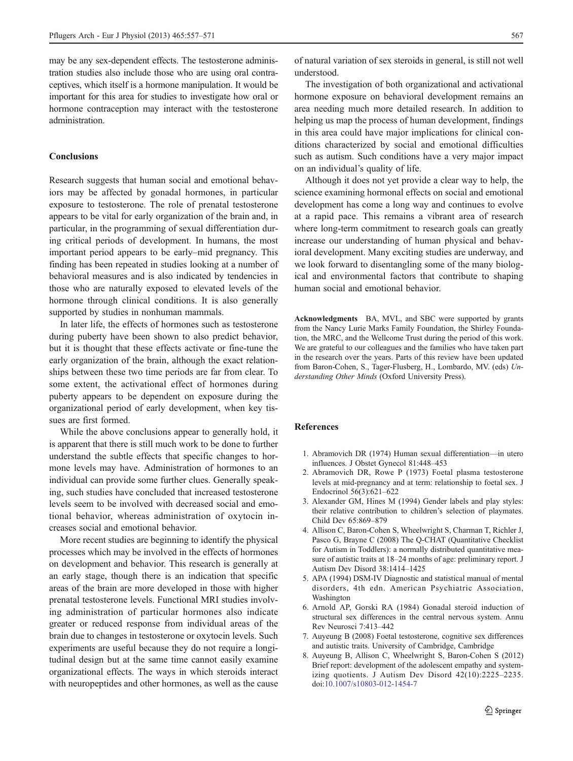<span id="page-10-0"></span>may be any sex-dependent effects. The testosterone administration studies also include those who are using oral contraceptives, which itself is a hormone manipulation. It would be important for this area for studies to investigate how oral or hormone contraception may interact with the testosterone administration.

# Conclusions

Research suggests that human social and emotional behaviors may be affected by gonadal hormones, in particular exposure to testosterone. The role of prenatal testosterone appears to be vital for early organization of the brain and, in particular, in the programming of sexual differentiation during critical periods of development. In humans, the most important period appears to be early–mid pregnancy. This finding has been repeated in studies looking at a number of behavioral measures and is also indicated by tendencies in those who are naturally exposed to elevated levels of the hormone through clinical conditions. It is also generally supported by studies in nonhuman mammals.

In later life, the effects of hormones such as testosterone during puberty have been shown to also predict behavior, but it is thought that these effects activate or fine-tune the early organization of the brain, although the exact relationships between these two time periods are far from clear. To some extent, the activational effect of hormones during puberty appears to be dependent on exposure during the organizational period of early development, when key tissues are first formed.

While the above conclusions appear to generally hold, it is apparent that there is still much work to be done to further understand the subtle effects that specific changes to hormone levels may have. Administration of hormones to an individual can provide some further clues. Generally speaking, such studies have concluded that increased testosterone levels seem to be involved with decreased social and emotional behavior, whereas administration of oxytocin increases social and emotional behavior.

More recent studies are beginning to identify the physical processes which may be involved in the effects of hormones on development and behavior. This research is generally at an early stage, though there is an indication that specific areas of the brain are more developed in those with higher prenatal testosterone levels. Functional MRI studies involving administration of particular hormones also indicate greater or reduced response from individual areas of the brain due to changes in testosterone or oxytocin levels. Such experiments are useful because they do not require a longitudinal design but at the same time cannot easily examine organizational effects. The ways in which steroids interact with neuropeptides and other hormones, as well as the cause

of natural variation of sex steroids in general, is still not well understood.

The investigation of both organizational and activational hormone exposure on behavioral development remains an area needing much more detailed research. In addition to helping us map the process of human development, findings in this area could have major implications for clinical conditions characterized by social and emotional difficulties such as autism. Such conditions have a very major impact on an individual's quality of life.

Although it does not yet provide a clear way to help, the science examining hormonal effects on social and emotional development has come a long way and continues to evolve at a rapid pace. This remains a vibrant area of research where long-term commitment to research goals can greatly increase our understanding of human physical and behavioral development. Many exciting studies are underway, and we look forward to disentangling some of the many biological and environmental factors that contribute to shaping human social and emotional behavior.

Acknowledgments BA, MVL, and SBC were supported by grants from the Nancy Lurie Marks Family Foundation, the Shirley Foundation, the MRC, and the Wellcome Trust during the period of this work. We are grateful to our colleagues and the families who have taken part in the research over the years. Parts of this review have been updated from Baron-Cohen, S., Tager-Flusberg, H., Lombardo, MV. (eds) Understanding Other Minds (Oxford University Press).

# References

- 1. Abramovich DR (1974) Human sexual differentiation—in utero influences. J Obstet Gynecol 81:448–453
- 2. Abramovich DR, Rowe P (1973) Foetal plasma testosterone levels at mid-pregnancy and at term: relationship to foetal sex. J Endocrinol 56(3):621–622
- 3. Alexander GM, Hines M (1994) Gender labels and play styles: their relative contribution to children's selection of playmates. Child Dev 65:869–879
- 4. Allison C, Baron-Cohen S, Wheelwright S, Charman T, Richler J, Pasco G, Brayne C (2008) The Q-CHAT (Quantitative Checklist for Autism in Toddlers): a normally distributed quantitative measure of autistic traits at 18–24 months of age: preliminary report. J Autism Dev Disord 38:1414–1425
- 5. APA (1994) DSM-IV Diagnostic and statistical manual of mental disorders, 4th edn. American Psychiatric Association, Washington
- 6. Arnold AP, Gorski RA (1984) Gonadal steroid induction of structural sex differences in the central nervous system. Annu Rev Neurosci 7:413–442
- 7. Auyeung B (2008) Foetal testosterone, cognitive sex differences and autistic traits. University of Cambridge, Cambridge
- 8. Auyeung B, Allison C, Wheelwright S, Baron-Cohen S (2012) Brief report: development of the adolescent empathy and systemizing quotients. J Autism Dev Disord 42(10):2225–2235. doi[:10.1007/s10803-012-1454-7](http://dx.doi.org/10.1007/s10803-012-1454-7)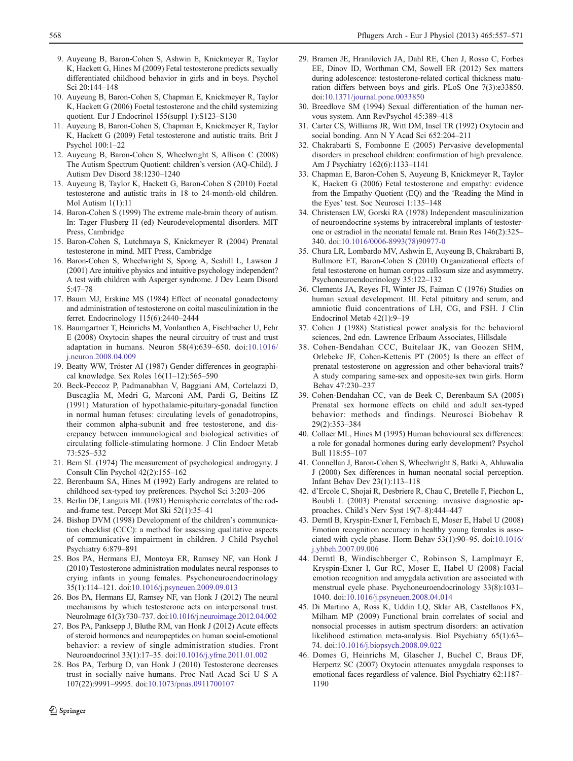- <span id="page-11-0"></span>9. Auyeung B, Baron-Cohen S, Ashwin E, Knickmeyer R, Taylor K, Hackett G, Hines M (2009) Fetal testosterone predicts sexually differentiated childhood behavior in girls and in boys. Psychol Sci 20:144–148
- 10. Auyeung B, Baron-Cohen S, Chapman E, Knickmeyer R, Taylor K, Hackett G (2006) Foetal testosterone and the child systemizing quotient. Eur J Endocrinol 155(suppl 1):S123–S130
- 11. Auyeung B, Baron-Cohen S, Chapman E, Knickmeyer R, Taylor K, Hackett G (2009) Fetal testosterone and autistic traits. Brit J Psychol  $100.1-22$
- 12. Auyeung B, Baron-Cohen S, Wheelwright S, Allison C (2008) The Autism Spectrum Quotient: children's version (AQ-Child). J Autism Dev Disord 38:1230–1240
- 13. Auyeung B, Taylor K, Hackett G, Baron-Cohen S (2010) Foetal testosterone and autistic traits in 18 to 24-month-old children. Mol Autism 1(1):11
- 14. Baron-Cohen S (1999) The extreme male-brain theory of autism. In: Tager Flusberg H (ed) Neurodevelopmental disorders. MIT Press, Cambridge
- 15. Baron-Cohen S, Lutchmaya S, Knickmeyer R (2004) Prenatal testosterone in mind. MIT Press, Cambridge
- 16. Baron-Cohen S, Wheelwright S, Spong A, Scahill L, Lawson J (2001) Are intuitive physics and intuitive psychology independent? A test with children with Asperger syndrome. J Dev Learn Disord 5:47–78
- 17. Baum MJ, Erskine MS (1984) Effect of neonatal gonadectomy and administration of testosterone on coital masculinization in the ferret. Endocrinology 115(6):2440–2444
- 18. Baumgartner T, Heinrichs M, Vonlanthen A, Fischbacher U, Fehr E (2008) Oxytocin shapes the neural circuitry of trust and trust adaptation in humans. Neuron 58(4):639–650. doi:[10.1016/](http://dx.doi.org/10.1016/j.neuron.2008.04.009) [j.neuron.2008.04.009](http://dx.doi.org/10.1016/j.neuron.2008.04.009)
- 19. Beatty WW, Tröster AI (1987) Gender differences in geographical knowledge. Sex Roles 16(11–12):565–590
- 20. Beck-Peccoz P, Padmanabhan V, Baggiani AM, Cortelazzi D, Buscaglia M, Medri G, Marconi AM, Pardi G, Beitins IZ (1991) Maturation of hypothalamic-pituitary-gonadal function in normal human fetuses: circulating levels of gonadotropins, their common alpha-subunit and free testosterone, and discrepancy between immunological and biological activities of circulating follicle-stimulating hormone. J Clin Endocr Metab 73:525–532
- 21. Bem SL (1974) The measurement of psychological androgyny. J Consult Clin Psychol 42(2):155–162
- 22. Berenbaum SA, Hines M (1992) Early androgens are related to childhood sex-typed toy preferences. Psychol Sci 3:203–206
- 23. Berlin DF, Languis ML (1981) Hemispheric correlates of the rodand-frame test. Percept Mot Ski 52(1):35–41
- 24. Bishop DVM (1998) Development of the children's communication checklist (CCC): a method for assessing qualitative aspects of communicative impairment in children. J Child Psychol Psychiatry 6:879–891
- 25. Bos PA, Hermans EJ, Montoya ER, Ramsey NF, van Honk J (2010) Testosterone administration modulates neural responses to crying infants in young females. Psychoneuroendocrinology 35(1):114–121. doi:[10.1016/j.psyneuen.2009.09.013](http://dx.doi.org/10.1016/j.psyneuen.2009.09.013)
- 26. Bos PA, Hermans EJ, Ramsey NF, van Honk J (2012) The neural mechanisms by which testosterone acts on interpersonal trust. NeuroImage 61(3):730–737. doi:[10.1016/j.neuroimage.2012.04.002](http://dx.doi.org/10.1016/j.neuroimage.2012.04.002)
- 27. Bos PA, Panksepp J, Bluthe RM, van Honk J (2012) Acute effects of steroid hormones and neuropeptides on human social-emotional behavior: a review of single administration studies. Front Neuroendocrinol 33(1):17–35. doi[:10.1016/j.yfrne.2011.01.002](http://dx.doi.org/10.1016/j.yfrne.2011.01.002)
- 28. Bos PA, Terburg D, van Honk J (2010) Testosterone decreases trust in socially naive humans. Proc Natl Acad Sci U S A 107(22):9991–9995. doi:[10.1073/pnas.0911700107](http://dx.doi.org/10.1073/pnas.0911700107)
- 29. Bramen JE, Hranilovich JA, Dahl RE, Chen J, Rosso C, Forbes EE, Dinov ID, Worthman CM, Sowell ER (2012) Sex matters during adolescence: testosterone-related cortical thickness maturation differs between boys and girls. PLoS One 7(3):e33850. doi[:10.1371/journal.pone.0033850](http://dx.doi.org/10.1371/journal.pone.0033850)
- 30. Breedlove SM (1994) Sexual differentiation of the human nervous system. Ann RevPsychol 45:389–418
- 31. Carter CS, Williams JR, Witt DM, Insel TR (1992) Oxytocin and social bonding. Ann N Y Acad Sci 652:204–211
- 32. Chakrabarti S, Fombonne E (2005) Pervasive developmental disorders in preschool children: confirmation of high prevalence. Am J Psychiatry 162(6):1133–1141
- 33. Chapman E, Baron-Cohen S, Auyeung B, Knickmeyer R, Taylor K, Hackett G (2006) Fetal testosterone and empathy: evidence from the Empathy Quotient (EQ) and the 'Reading the Mind in the Eyes' test. Soc Neurosci 1:135–148
- 34. Christensen LW, Gorski RA (1978) Independent masculinization of neuroendocrine systems by intracerebral implants of testosterone or estradiol in the neonatal female rat. Brain Res 146(2):325– 340. doi:[10.1016/0006-8993\(78\)90977-0](http://dx.doi.org/10.1016/0006-8993(78)90977-0)
- 35. Chura LR, Lombardo MV, Ashwin E, Auyeung B, Chakrabarti B, Bullmore ET, Baron-Cohen S (2010) Organizational effects of fetal testosterone on human corpus callosum size and asymmetry. Psychoneuroendocrinology 35:122–132
- 36. Clements JA, Reyes FI, Winter JS, Faiman C (1976) Studies on human sexual development. III. Fetal pituitary and serum, and amniotic fluid concentrations of LH, CG, and FSH. J Clin Endocrinol Metab 42(1):9–19
- 37. Cohen J (1988) Statistical power analysis for the behavioral sciences, 2nd edn. Lawrence Erlbaum Associates, Hillsdale
- 38. Cohen-Bendahan CCC, Buitelaar JK, van Goozen SHM, Orlebeke JF, Cohen-Kettenis PT (2005) Is there an effect of prenatal testosterone on aggression and other behavioral traits? A study comparing same-sex and opposite-sex twin girls. Horm Behav 47:230–237
- 39. Cohen-Bendahan CC, van de Beek C, Berenbaum SA (2005) Prenatal sex hormone effects on child and adult sex-typed behavior: methods and findings. Neurosci Biobehav R 29(2):353–384
- 40. Collaer ML, Hines M (1995) Human behavioural sex differences: a role for gonadal hormones during early development? Psychol Bull 118:55–107
- 41. Connellan J, Baron-Cohen S, Wheelwright S, Batki A, Ahluwalia J (2000) Sex differences in human neonatal social perception. Infant Behav Dev 23(1):113–118
- 42. d'Ercole C, Shojai R, Desbriere R, Chau C, Bretelle F, Piechon L, Boubli L (2003) Prenatal screening: invasive diagnostic approaches. Child's Nerv Syst 19(7–8):444–447
- 43. Derntl B, Kryspin-Exner I, Fernbach E, Moser E, Habel U (2008) Emotion recognition accuracy in healthy young females is associated with cycle phase. Horm Behav 53(1):90–95. doi[:10.1016/](http://dx.doi.org/10.1016/j.yhbeh.2007.09.006) [j.yhbeh.2007.09.006](http://dx.doi.org/10.1016/j.yhbeh.2007.09.006)
- 44. Derntl B, Windischberger C, Robinson S, Lamplmayr E, Kryspin-Exner I, Gur RC, Moser E, Habel U (2008) Facial emotion recognition and amygdala activation are associated with menstrual cycle phase. Psychoneuroendocrinology 33(8):1031– 1040. doi:[10.1016/j.psyneuen.2008.04.014](http://dx.doi.org/10.1016/j.psyneuen.2008.04.014)
- 45. Di Martino A, Ross K, Uddin LQ, Sklar AB, Castellanos FX, Milham MP (2009) Functional brain correlates of social and nonsocial processes in autism spectrum disorders: an activation likelihood estimation meta-analysis. Biol Psychiatry 65(1):63– 74. doi:[10.1016/j.biopsych.2008.09.022](http://dx.doi.org/10.1016/j.biopsych.2008.09.022)
- 46. Domes G, Heinrichs M, Glascher J, Buchel C, Braus DF, Herpertz SC (2007) Oxytocin attenuates amygdala responses to emotional faces regardless of valence. Biol Psychiatry 62:1187– 1190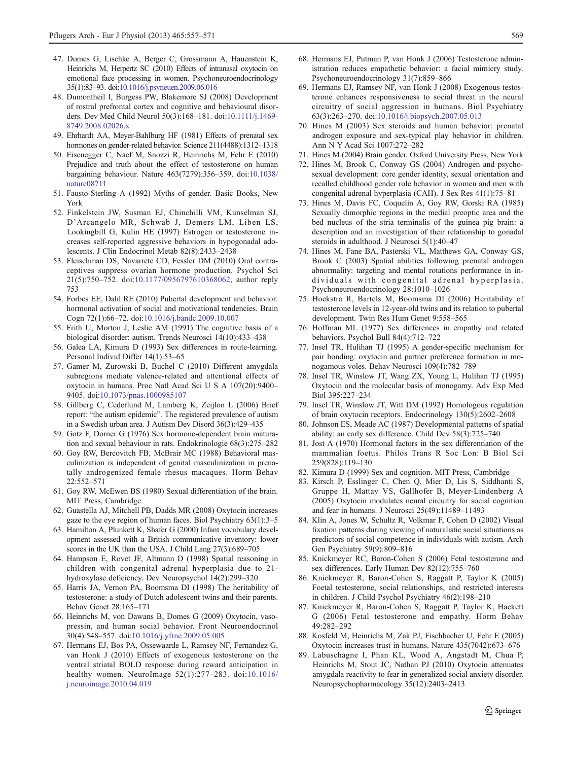- <span id="page-12-0"></span>47. Domes G, Lischke A, Berger C, Grossmann A, Hauenstein K, Heinrichs M, Herpertz SC (2010) Effects of intranasal oxytocin on emotional face processing in women. Psychoneuroendocrinology 35(1):83–93. doi[:10.1016/j.psyneuen.2009.06.016](http://dx.doi.org/10.1016/j.psyneuen.2009.06.016)
- 48. Dumontheil I, Burgess PW, Blakemore SJ (2008) Development of rostral prefrontal cortex and cognitive and behavioural disorders. Dev Med Child Neurol 50(3):168–181. doi[:10.1111/j.1469-](http://dx.doi.org/10.1111/j.1469-8749.2008.02026.x) [8749.2008.02026.x](http://dx.doi.org/10.1111/j.1469-8749.2008.02026.x)
- 49. Ehrhardt AA, Meyer-Bahlburg HF (1981) Effects of prenatal sex hormones on gender-related behavior. Science 211(4488):1312–1318
- 50. Eisenegger C, Naef M, Snozzi R, Heinrichs M, Fehr E (2010) Prejudice and truth about the effect of testosterone on human bargaining behaviour. Nature 463(7279):356–359. doi[:10.1038/](http://dx.doi.org/10.1038/nature08711) [nature08711](http://dx.doi.org/10.1038/nature08711)
- 51. Fausto-Sterling A (1992) Myths of gender. Basic Books, New York
- 52. Finkelstein JW, Susman EJ, Chinchilli VM, Kunselman SJ, D'Arcangelo MR, Schwab J, Demers LM, Liben LS, Lookingbill G, Kulin HE (1997) Estrogen or testosterone increases self-reported aggressive behaviors in hypogonadal adolescents. J Clin Endocrinol Metab 82(8):2433–2438
- 53. Fleischman DS, Navarrete CD, Fessler DM (2010) Oral contraceptives suppress ovarian hormone production. Psychol Sci 21(5):750–752. doi:[10.1177/0956797610368062,](http://dx.doi.org/10.1177/0956797610368062) author reply 753
- 54. Forbes EE, Dahl RE (2010) Pubertal development and behavior: hormonal activation of social and motivational tendencies. Brain Cogn 72(1):66–72. doi[:10.1016/j.bandc.2009.10.007](http://dx.doi.org/10.1016/j.bandc.2009.10.007)
- 55. Frith U, Morton J, Leslie AM (1991) The cognitive basis of a biological disorder: autism. Trends Neurosci 14(10):433–438
- 56. Galea LA, Kimura D (1993) Sex differences in route-learning. Personal Individ Differ 14(1):53–65
- 57. Gamer M, Zurowski B, Buchel C (2010) Different amygdala subregions mediate valence-related and attentional effects of oxytocin in humans. Proc Natl Acad Sci U S A 107(20):9400– 9405. doi:[10.1073/pnas.1000985107](http://dx.doi.org/10.1073/pnas.1000985107)
- 58. Gillberg C, Cederlund M, Lamberg K, Zeijlon L (2006) Brief report: "the autism epidemic". The registered prevalence of autism in a Swedish urban area. J Autism Dev Disord 36(3):429–435
- 59. Gotz F, Dorner G (1976) Sex hormone-dependent brain maturation and sexual behaviour in rats. Endokrinologie 68(3):275–282
- 60. Goy RW, Bercovitch FB, McBrair MC (1988) Behavioral masculinization is independent of genital masculinization in prenatally androgenized female rhesus macaques. Horm Behav 22:552–571
- 61. Goy RW, McEwen BS (1980) Sexual differentiation of the brain. MIT Press, Cambridge
- 62. Guastella AJ, Mitchell PB, Dadds MR (2008) Oxytocin increases gaze to the eye region of human faces. Biol Psychiatry 63(1):3–5
- 63. Hamilton A, Plunkett K, Shafer G (2000) Infant vocabulary development assessed with a British communicative inventory: lower scores in the UK than the USA. J Child Lang 27(3):689–705
- 64. Hampson E, Rovet JF, Altmann D (1998) Spatial reasoning in children with congenital adrenal hyperplasia due to 21 hydroxylase deficiency. Dev Neuropsychol 14(2):299–320
- 65. Harris JA, Vernon PA, Boomsma DI (1998) The heritability of testosterone: a study of Dutch adolescent twins and their parents. Behav Genet 28:165–171
- 66. Heinrichs M, von Dawans B, Domes G (2009) Oxytocin, vasopressin, and human social behavior. Front Neuroendocrinol 30(4):548–557. doi[:10.1016/j.yfrne.2009.05.005](http://dx.doi.org/10.1016/j.yfrne.2009.05.005)
- 67. Hermans EJ, Bos PA, Ossewaarde L, Ramsey NF, Fernandez G, van Honk J (2010) Effects of exogenous testosterone on the ventral striatal BOLD response during reward anticipation in healthy women. NeuroImage 52(1):277–283. doi:[10.1016/](http://dx.doi.org/10.1016/j.neuroimage.2010.04.019) [j.neuroimage.2010.04.019](http://dx.doi.org/10.1016/j.neuroimage.2010.04.019)
- 68. Hermans EJ, Putman P, van Honk J (2006) Testosterone administration reduces empathetic behavior: a facial mimicry study. Psychoneuroendocrinology 31(7):859–866
- 69. Hermans EJ, Ramsey NF, van Honk J (2008) Exogenous testosterone enhances responsiveness to social threat in the neural circuitry of social aggression in humans. Biol Psychiatry 63(3):263–270. doi[:10.1016/j.biopsych.2007.05.013](http://dx.doi.org/10.1016/j.biopsych.2007.05.013)
- 70. Hines M (2003) Sex steroids and human behavior: prenatal androgen exposure and sex-typical play behavior in children. Ann N Y Acad Sci 1007:272–282
- 71. Hines M (2004) Brain gender. Oxford University Press, New York
- 72. Hines M, Brook C, Conway GS (2004) Androgen and psychosexual development: core gender identity, sexual orientation and recalled childhood gender role behavior in women and men with congenital adrenal hyperplasia (CAH). J Sex Res 41(1):75–81
- 73. Hines M, Davis FC, Coquelin A, Goy RW, Gorski RA (1985) Sexually dimorphic regions in the medial preoptic area and the bed nucleus of the stria terminalis of the guinea pig brain: a description and an investigation of their relationship to gonadal steroids in adulthood. J Neurosci 5(1):40–47
- 74. Hines M, Fane BA, Pasterski VL, Matthews GA, Conway GS, Brook C (2003) Spatial abilities following prenatal androgen abnormality: targeting and mental rotations performance in individuals with congenital adrenal hyperplasia. Psychoneuroendocrinology 28:1010–1026
- 75. Hoekstra R, Bartels M, Boomsma DI (2006) Heritability of testosterone levels in 12-year-old twins and its relation to pubertal development. Twin Res Hum Genet 9:558–565
- 76. Hoffman ML (1977) Sex differences in empathy and related behaviors. Psychol Bull 84(4):712–722
- 77. Insel TR, Hulihan TJ (1995) A gender-specific mechanism for pair bonding: oxytocin and partner preference formation in monogamous voles. Behav Neurosci 109(4):782–789
- 78. Insel TR, Winslow JT, Wang ZX, Young L, Hulihan TJ (1995) Oxytocin and the molecular basis of monogamy. Adv Exp Med Biol 395:227–234
- 79. Insel TR, Winslow JT, Witt DM (1992) Homologous regulation of brain oxytocin receptors. Endocrinology 130(5):2602–2608
- 80. Johnson ES, Meade AC (1987) Developmental patterns of spatial ability: an early sex difference. Child Dev 58(3):725–740
- 81. Jost A (1970) Hormonal factors in the sex differentiation of the mammalian foetus. Philos Trans R Soc Lon: B Biol Sci 259(828):119–130
- 82. Kimura D (1999) Sex and cognition. MIT Press, Cambridge
- 83. Kirsch P, Esslinger C, Chen Q, Mier D, Lis S, Siddhanti S, Gruppe H, Mattay VS, Gallhofer B, Meyer-Lindenberg A (2005) Oxytocin modulates neural circuitry for social cognition and fear in humans. J Neurosci 25(49):11489–11493
- 84. Klin A, Jones W, Schultz R, Volkmar F, Cohen D (2002) Visual fixation patterns during viewing of naturalistic social situations as predictors of social competence in individuals with autism. Arch Gen Psychiatry 59(9):809–816
- 85. Knickmeyer RC, Baron-Cohen S (2006) Fetal testosterone and sex differences. Early Human Dev 82(12):755–760
- 86. Knickmeyer R, Baron-Cohen S, Raggatt P, Taylor K (2005) Foetal testosterone, social relationships, and restricted interests in children. J Child Psychol Psychiatry 46(2):198–210
- 87. Knickmeyer R, Baron-Cohen S, Raggatt P, Taylor K, Hackett G (2006) Fetal testosterone and empathy. Horm Behav 49:282–292
- 88. Kosfeld M, Heinrichs M, Zak PJ, Fischbacher U, Fehr E (2005) Oxytocin increases trust in humans. Nature 435(7042):673–676
- 89. Labuschagne I, Phan KL, Wood A, Angstadt M, Chua P, Heinrichs M, Stout JC, Nathan PJ (2010) Oxytocin attenuates amygdala reactivity to fear in generalized social anxiety disorder. Neuropsychopharmacology 35(12):2403–2413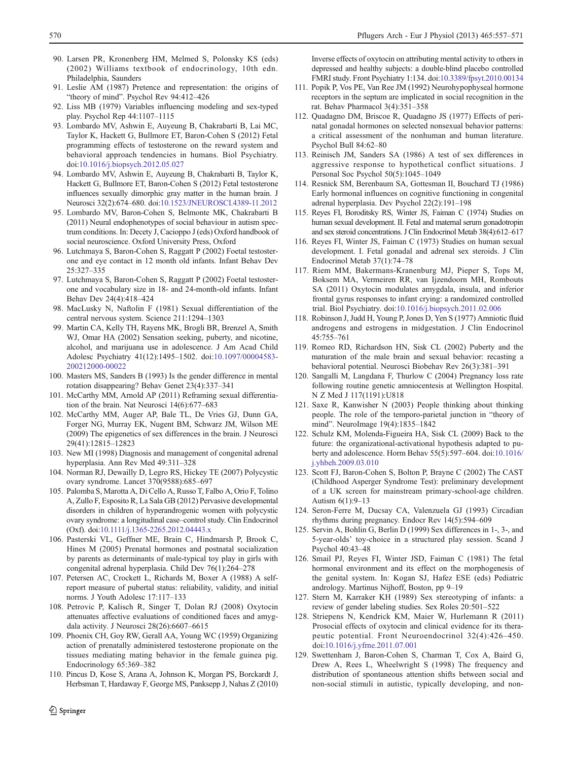- <span id="page-13-0"></span>90. Larsen PR, Kronenberg HM, Melmed S, Polonsky KS (eds) (2002) Williams textbook of endocrinology, 10th edn. Philadelphia, Saunders
- 91. Leslie AM (1987) Pretence and representation: the origins of "theory of mind". Psychol Rev 94:412–426
- 92. Liss MB (1979) Variables influencing modeling and sex-typed play. Psychol Rep 44:1107–1115
- 93. Lombardo MV, Ashwin E, Auyeung B, Chakrabarti B, Lai MC, Taylor K, Hackett G, Bullmore ET, Baron-Cohen S (2012) Fetal programming effects of testosterone on the reward system and behavioral approach tendencies in humans. Biol Psychiatry. doi[:10.1016/j.biopsych.2012.05.027](http://dx.doi.org/10.1016/j.biopsych.2012.05.027)
- 94. Lombardo MV, Ashwin E, Auyeung B, Chakrabarti B, Taylor K, Hackett G, Bullmore ET, Baron-Cohen S (2012) Fetal testosterone influences sexually dimorphic gray matter in the human brain. J Neurosci 32(2):674–680. doi:[10.1523/JNEUROSCI.4389-11.2012](http://dx.doi.org/10.1523/JNEUROSCI.4389-11.2012)
- 95. Lombardo MV, Baron-Cohen S, Belmonte MK, Chakrabarti B (2011) Neural endophenotypes of social behaviour in autism spectrum conditions. In: Decety J, Cacioppo J (eds) Oxford handbook of social neuroscience. Oxford University Press, Oxford
- 96. Lutchmaya S, Baron-Cohen S, Raggatt P (2002) Foetal testosterone and eye contact in 12 month old infants. Infant Behav Dev 25:327–335
- 97. Lutchmaya S, Baron-Cohen S, Raggatt P (2002) Foetal testosterone and vocabulary size in 18- and 24-month-old infants. Infant Behav Dev 24(4):418–424
- 98. MacLusky N, Naftolin F (1981) Sexual differentiation of the central nervous system. Science 211:1294–1303
- 99. Martin CA, Kelly TH, Rayens MK, Brogli BR, Brenzel A, Smith WJ, Omar HA (2002) Sensation seeking, puberty, and nicotine, alcohol, and marijuana use in adolescence. J Am Acad Child Adolesc Psychiatry 41(12):1495–1502. doi[:10.1097/00004583-](http://dx.doi.org/10.1097/00004583-200212000-00022) [200212000-00022](http://dx.doi.org/10.1097/00004583-200212000-00022)
- 100. Masters MS, Sanders B (1993) Is the gender difference in mental rotation disappearing? Behav Genet 23(4):337–341
- 101. McCarthy MM, Arnold AP (2011) Reframing sexual differentiation of the brain. Nat Neurosci 14(6):677–683
- 102. McCarthy MM, Auger AP, Bale TL, De Vries GJ, Dunn GA, Forger NG, Murray EK, Nugent BM, Schwarz JM, Wilson ME (2009) The epigenetics of sex differences in the brain. J Neurosci 29(41):12815–12823
- 103. New MI (1998) Diagnosis and management of congenital adrenal hyperplasia. Ann Rev Med 49:311–328
- 104. Norman RJ, Dewailly D, Legro RS, Hickey TE (2007) Polycystic ovary syndrome. Lancet 370(9588):685–697
- 105. Palomba S, Marotta A, Di Cello A, Russo T, Falbo A, Orio F, Tolino A, Zullo F, Esposito R, La Sala GB (2012) Pervasive developmental disorders in children of hyperandrogenic women with polycystic ovary syndrome: a longitudinal case–control study. Clin Endocrinol (Oxf). doi[:10.1111/j.1365-2265.2012.04443.x](http://dx.doi.org/10.1111/j.1365-2265.2012.04443.x)
- 106. Pasterski VL, Geffner ME, Brain C, Hindmarsh P, Brook C, Hines M (2005) Prenatal hormones and postnatal socialization by parents as determinants of male-typical toy play in girls with congenital adrenal hyperplasia. Child Dev 76(1):264–278
- 107. Petersen AC, Crockett L, Richards M, Boxer A (1988) A selfreport measure of pubertal status: reliability, validity, and initial norms. J Youth Adolesc 17:117–133
- 108. Petrovic P, Kalisch R, Singer T, Dolan RJ (2008) Oxytocin attenuates affective evaluations of conditioned faces and amygdala activity. J Neurosci 28(26):6607–6615
- 109. Phoenix CH, Goy RW, Gerall AA, Young WC (1959) Organizing action of prenatally administered testosterone propionate on the tissues mediating mating behavior in the female guinea pig. Endocrinology 65:369–382
- 110. Pincus D, Kose S, Arana A, Johnson K, Morgan PS, Borckardt J, Herbsman T, Hardaway F, George MS, Panksepp J, Nahas Z (2010)

Inverse effects of oxytocin on attributing mental activity to others in depressed and healthy subjects: a double-blind placebo controlled FMRI study. Front Psychiatry 1:134. doi:[10.3389/fpsyt.2010.00134](http://dx.doi.org/10.3389/fpsyt.2010.00134)

- 111. Popik P, Vos PE, Van Ree JM (1992) Neurohypophyseal hormone receptors in the septum are implicated in social recognition in the rat. Behav Pharmacol 3(4):351–358
- 112. Quadagno DM, Briscoe R, Quadagno JS (1977) Effects of perinatal gonadal hormones on selected nonsexual behavior patterns: a critical assessment of the nonhuman and human literature. Psychol Bull 84:62–80
- 113. Reinisch JM, Sanders SA (1986) A test of sex differences in aggressive response to hypothetical conflict situations. J Personal Soc Psychol 50(5):1045–1049
- 114. Resnick SM, Berenbaum SA, Gottesman II, Bouchard TJ (1986) Early hormonal influences on cognitive functioning in congenital adrenal hyperplasia. Dev Psychol 22(2):191–198
- 115. Reyes FI, Boroditsky RS, Winter JS, Faiman C (1974) Studies on human sexual development. II. Fetal and maternal serum gonadotropin and sex steroid concentrations. J Clin Endocrinol Metab 38(4):612–617
- 116. Reyes FI, Winter JS, Faiman C (1973) Studies on human sexual development. I. Fetal gonadal and adrenal sex steroids. J Clin Endocrinol Metab 37(1):74–78
- 117. Riem MM, Bakermans-Kranenburg MJ, Pieper S, Tops M, Boksem MA, Vermeiren RR, van Ijzendoorn MH, Rombouts SA (2011) Oxytocin modulates amygdala, insula, and inferior frontal gyrus responses to infant crying: a randomized controlled trial. Biol Psychiatry. doi[:10.1016/j.biopsych.2011.02.006](http://dx.doi.org/10.1016/j.biopsych.2011.02.006)
- 118. Robinson J, Judd H, Young P, Jones D, Yen S (1977) Amniotic fluid androgens and estrogens in midgestation. J Clin Endocrinol 45:755–761
- 119. Romeo RD, Richardson HN, Sisk CL (2002) Puberty and the maturation of the male brain and sexual behavior: recasting a behavioral potential. Neurosci Biobehav Rev 26(3):381–391
- 120. Sangalli M, Langdana F, Thurlow C (2004) Pregnancy loss rate following routine genetic amniocentesis at Wellington Hospital. N Z Med J 117(1191):U818
- 121. Saxe R, Kanwisher N (2003) People thinking about thinking people. The role of the temporo-parietal junction in "theory of mind". NeuroImage 19(4):1835–1842
- 122. Schulz KM, Molenda-Figueira HA, Sisk CL (2009) Back to the future: the organizational-activational hypothesis adapted to puberty and adolescence. Horm Behav 55(5):597–604. doi[:10.1016/](http://dx.doi.org/10.1016/j.yhbeh.2009.03.010) [j.yhbeh.2009.03.010](http://dx.doi.org/10.1016/j.yhbeh.2009.03.010)
- 123. Scott FJ, Baron-Cohen S, Bolton P, Brayne C (2002) The CAST (Childhood Asperger Syndrome Test): preliminary development of a UK screen for mainstream primary-school-age children. Autism 6(1):9–13
- 124. Seron-Ferre M, Ducsay CA, Valenzuela GJ (1993) Circadian rhythms during pregnancy. Endocr Rev 14(5):594–609
- 125. Servin A, Bohlin G, Berlin D (1999) Sex differences in 1-, 3-, and 5-year-olds' toy-choice in a structured play session. Scand J Psychol 40:43–48
- 126. Smail PJ, Reyes FI, Winter JSD, Faiman C (1981) The fetal hormonal environment and its effect on the morphogenesis of the genital system. In: Kogan SJ, Hafez ESE (eds) Pediatric andrology. Martinus Nijhoff, Boston, pp 9–19
- 127. Stern M, Karraker KH (1989) Sex stereotyping of infants: a review of gender labeling studies. Sex Roles 20:501–522
- 128. Striepens N, Kendrick KM, Maier W, Hurlemann R (2011) Prosocial effects of oxytocin and clinical evidence for its therapeutic potential. Front Neuroendocrinol 32(4):426–450. doi:[10.1016/j.yfrne.2011.07.001](http://dx.doi.org/10.1016/j.yfrne.2011.07.001)
- 129. Swettenham J, Baron-Cohen S, Charman T, Cox A, Baird G, Drew A, Rees L, Wheelwright S (1998) The frequency and distribution of spontaneous attention shifts between social and non-social stimuli in autistic, typically developing, and non-